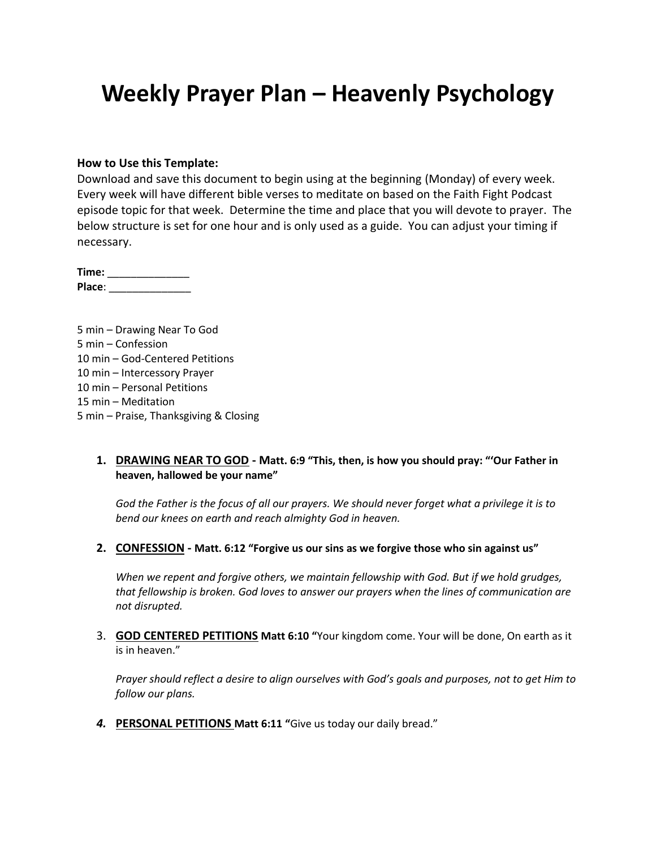# **Weekly Prayer Plan – Heavenly Psychology**

#### **How to Use this Template:**

Download and save this document to begin using at the beginning (Monday) of every week. Every week will have different bible verses to meditate on based on the Faith Fight Podcast episode topic for that week. Determine the time and place that you will devote to prayer. The below structure is set for one hour and is only used as a guide. You can adjust your timing if necessary.

**Time:** \_\_\_\_\_\_\_\_\_\_\_\_\_\_ **Place**: \_\_\_\_\_\_\_\_\_\_\_\_\_\_

5 min – Drawing Near To God 5 min – Confession 10 min – God-Centered Petitions 10 min – Intercessory Prayer 10 min – Personal Petitions 15 min – Meditation 5 min – Praise, Thanksgiving & Closing

#### **1. DRAWING NEAR TO GOD - Matt. 6:9 "This, then, is how you should pray: "'Our Father in heaven, hallowed be your name"**

*God the Father is the focus of all our prayers. We should never forget what a privilege it is to bend our knees on earth and reach almighty God in heaven.*

**2. CONFESSION - Matt. 6:12 "Forgive us our sins as we forgive those who sin against us"**

*When we repent and forgive others, we maintain fellowship with God. But if we hold grudges, that fellowship is broken. God loves to answer our prayers when the lines of communication are not disrupted.*

3. **GOD CENTERED PETITIONS Matt 6:10 "**Your kingdom come. Your will be done, On earth as it is in heaven."

*Prayer should reflect a desire to align ourselves with God's goals and purposes, not to get Him to follow our plans.*

*4.* **PERSONAL PETITIONS Matt 6:11 "**Give us today our daily bread."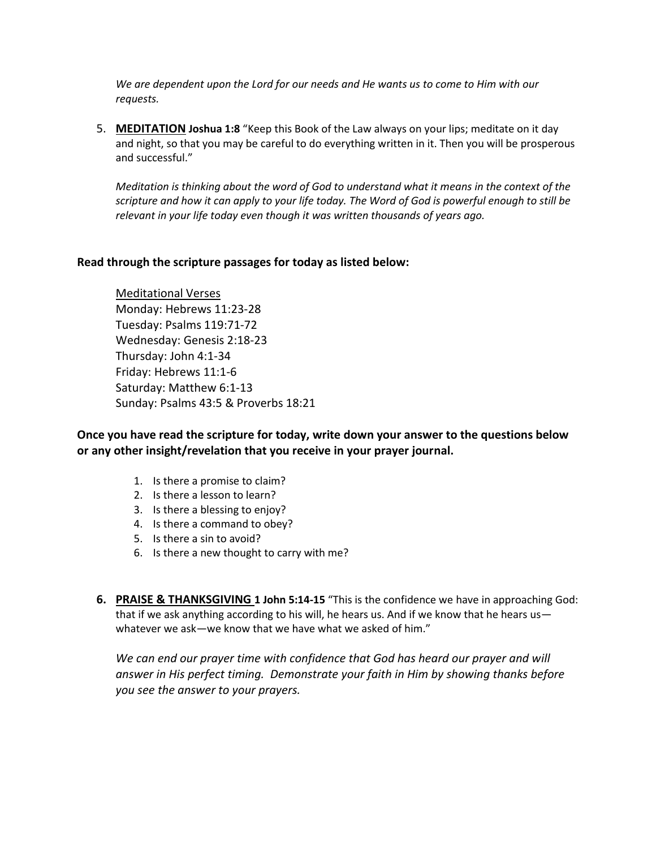*We are dependent upon the Lord for our needs and He wants us to come to Him with our requests.*

5. **MEDITATION Joshua 1:8** "Keep this Book of the Law always on your lips; meditate on it day and night, so that you may be careful to do everything written in it. Then you will be prosperous and successful."

*Meditation is thinking about the word of God to understand what it means in the context of the scripture and how it can apply to your life today. The Word of God is powerful enough to still be relevant in your life today even though it was written thousands of years ago.*

#### **Read through the scripture passages for today as listed below:**

Meditational Verses Monday: Hebrews 11:23-28 Tuesday: Psalms 119:71-72 Wednesday: Genesis 2:18-23 Thursday: John 4:1-34 Friday: Hebrews 11:1-6 Saturday: Matthew 6:1-13 Sunday: Psalms 43:5 & Proverbs 18:21

**Once you have read the scripture for today, write down your answer to the questions below or any other insight/revelation that you receive in your prayer journal.** 

- 1. Is there a promise to claim?
- 2. Is there a lesson to learn?
- 3. Is there a blessing to enjoy?
- 4. Is there a command to obey?
- 5. Is there a sin to avoid?
- 6. Is there a new thought to carry with me?
- **6. PRAISE & THANKSGIVING 1 John 5:14-15** "This is the confidence we have in approaching God: that if we ask anything according to his will, he hears us. And if we know that he hears us whatever we ask—we know that we have what we asked of him."

We can end our prayer time with confidence that God has heard our prayer and will *answer in His perfect timing. Demonstrate your faith in Him by showing thanks before you see the answer to your prayers.*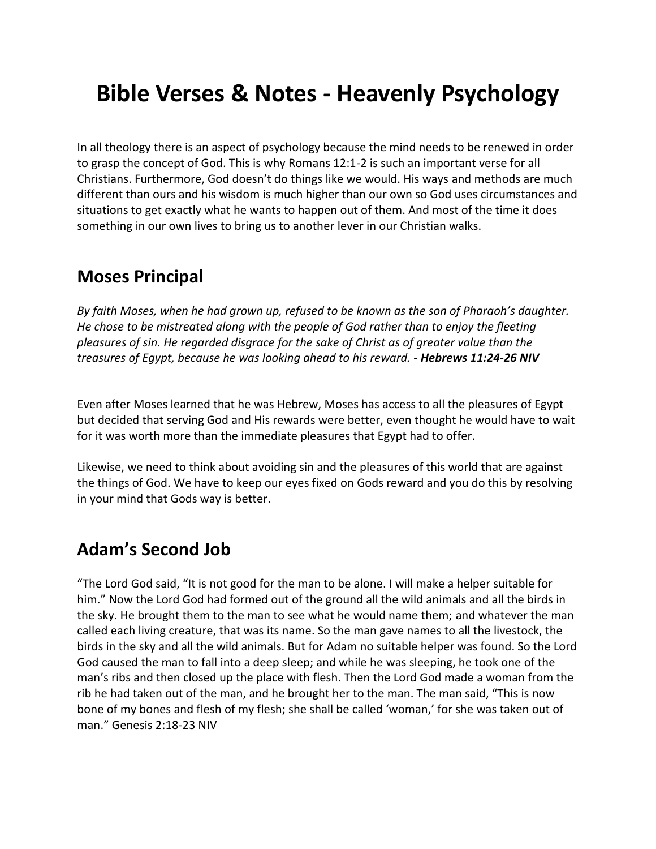# **Bible Verses & Notes - Heavenly Psychology**

In all theology there is an aspect of psychology because the mind needs to be renewed in order to grasp the concept of God. This is why Romans 12:1-2 is such an important verse for all Christians. Furthermore, God doesn't do things like we would. His ways and methods are much different than ours and his wisdom is much higher than our own so God uses circumstances and situations to get exactly what he wants to happen out of them. And most of the time it does something in our own lives to bring us to another lever in our Christian walks.

### **Moses Principal**

*By faith Moses, when he had grown up, refused to be known as the son of Pharaoh's daughter. He chose to be mistreated along with the people of God rather than to enjoy the fleeting pleasures of sin. He regarded disgrace for the sake of Christ as of greater value than the treasures of Egypt, because he was looking ahead to his reward. - Hebrews 11:24-26 NIV*

Even after Moses learned that he was Hebrew, Moses has access to all the pleasures of Egypt but decided that serving God and His rewards were better, even thought he would have to wait for it was worth more than the immediate pleasures that Egypt had to offer.

Likewise, we need to think about avoiding sin and the pleasures of this world that are against the things of God. We have to keep our eyes fixed on Gods reward and you do this by resolving in your mind that Gods way is better.

### **Adam's Second Job**

"The Lord God said, "It is not good for the man to be alone. I will make a helper suitable for him." Now the Lord God had formed out of the ground all the wild animals and all the birds in the sky. He brought them to the man to see what he would name them; and whatever the man called each living creature, that was its name. So the man gave names to all the livestock, the birds in the sky and all the wild animals. But for Adam no suitable helper was found. So the Lord God caused the man to fall into a deep sleep; and while he was sleeping, he took one of the man's ribs and then closed up the place with flesh. Then the Lord God made a woman from the rib he had taken out of the man, and he brought her to the man. The man said, "This is now bone of my bones and flesh of my flesh; she shall be called 'woman,' for she was taken out of man." Genesis 2:18-23 NIV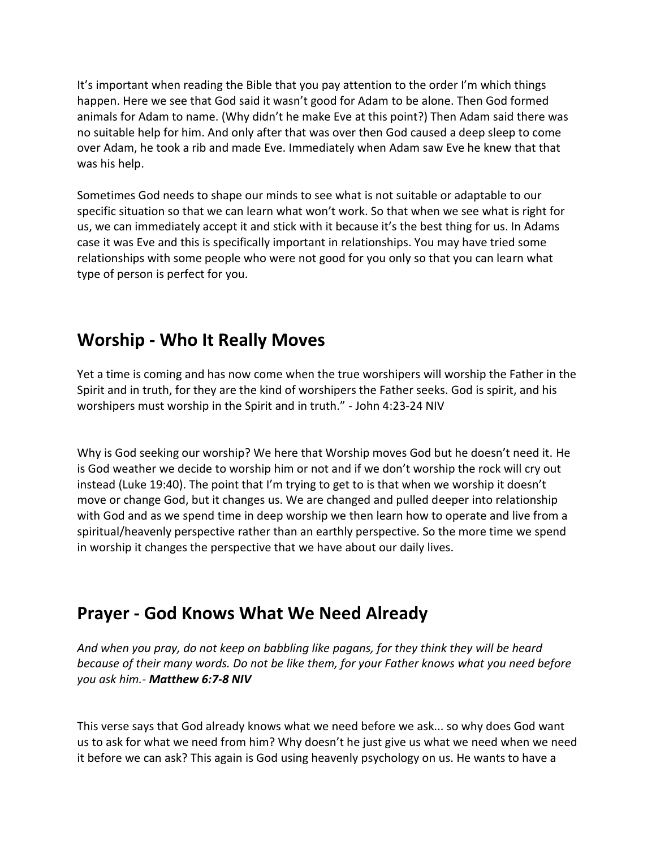It's important when reading the Bible that you pay attention to the order I'm which things happen. Here we see that God said it wasn't good for Adam to be alone. Then God formed animals for Adam to name. (Why didn't he make Eve at this point?) Then Adam said there was no suitable help for him. And only after that was over then God caused a deep sleep to come over Adam, he took a rib and made Eve. Immediately when Adam saw Eve he knew that that was his help.

Sometimes God needs to shape our minds to see what is not suitable or adaptable to our specific situation so that we can learn what won't work. So that when we see what is right for us, we can immediately accept it and stick with it because it's the best thing for us. In Adams case it was Eve and this is specifically important in relationships. You may have tried some relationships with some people who were not good for you only so that you can learn what type of person is perfect for you.

# **Worship - Who It Really Moves**

Yet a time is coming and has now come when the true worshipers will worship the Father in the Spirit and in truth, for they are the kind of worshipers the Father seeks. God is spirit, and his worshipers must worship in the Spirit and in truth." - John 4:23-24 NIV

Why is God seeking our worship? We here that Worship moves God but he doesn't need it. He is God weather we decide to worship him or not and if we don't worship the rock will cry out instead (Luke 19:40). The point that I'm trying to get to is that when we worship it doesn't move or change God, but it changes us. We are changed and pulled deeper into relationship with God and as we spend time in deep worship we then learn how to operate and live from a spiritual/heavenly perspective rather than an earthly perspective. So the more time we spend in worship it changes the perspective that we have about our daily lives.

## **Prayer - God Knows What We Need Already**

*And when you pray, do not keep on babbling like pagans, for they think they will be heard because of their many words. Do not be like them, for your Father knows what you need before you ask him.- Matthew 6:7-8 NIV*

This verse says that God already knows what we need before we ask... so why does God want us to ask for what we need from him? Why doesn't he just give us what we need when we need it before we can ask? This again is God using heavenly psychology on us. He wants to have a